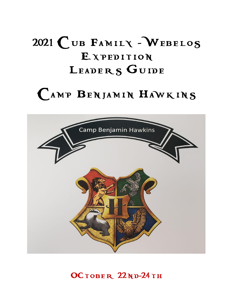# 2021 CUB FAMILY - WEBELOS **EXPEDITION** LEADERS GUIDE

# Camp Benjamin Hawkins



OCTOBER 22ND-24TH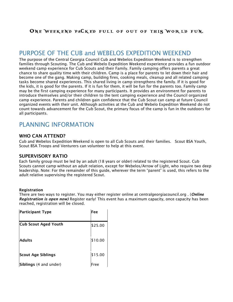#### ONE WEEKEND PACKED FULL OF OUT OF THIS WORLD FUN.

#### PURPOSE OF THE CUB and WEBELOS EXPEDITION WEEKEND

The purpose of the Central Georgia Council Cub and Webelos Expedition Weekend is to strengthen families through Scouting. The Cub and Webelo Expedition Weekend experience provides a fun outdoor weekend camp experience for Cub Scouts and their Family. Family camping offers parents a great chance to share quality time with their children. Camp is a place for parents to let down their hair and become one of the gang. Making camp, building fires, cooking meals, cleanup and all related camping tasks become shared experiences. This shared living in camp strengthens the family. If it is good for the kids, it is good for the parents. If it is fun for them, it will be fun for the parents too. Family camp may be the first camping experience for many participants. It provides an environment for parents to introduce themselves and/or their children to the tent camping experience and the Council organized camp experience. Parents and children gain confidence that the Cub Scout can camp at future Council organized events with their unit. Although activities at the Cub and Webelo Expedition Weekend do not count towards advancement for the Cub Scout, the primary focus of the camp is fun in the outdoors for all participants.

## PLANNING INFORMATION

#### WHO CAN ATTEND?

Cub and Webelos Expedition Weekend is open to all Cub Scouts and their families. Scout BSA Youth, Scout BSA Troops and Venturers can volunteer to help at this event.

#### SUPERVISORY RATIO

Each family group must be led by an adult (18 years or older) related to the registered Scout. Cub Scouts cannot camp without an adult relation, except for Webelos/Arrow of Light, who require two deep leadership. Note: For the remainder of this guide, wherever the term "parent" is used, this refers to the adult relative supervising the registered Scout.

#### **Registration**

There are two ways to register. You may either register online at centralgeorgiacouncil.org . (*Online Registration is open now)* Register early! This event has a maximum capacity, once capacity has been reached, registration will be closed.

| <b>Participant Type</b> | Fee     |
|-------------------------|---------|
| Cub Scout Aged Youth    | \$25.00 |
| Adults                  | \$10.00 |
| Scout Age Siblings      | \$15.00 |
| Siblings (4 and under)  | Free    |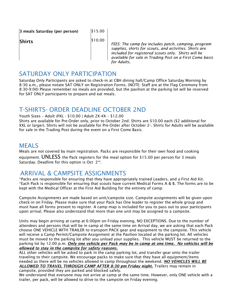3 meals Saturday (per person)

\$15.00

#### Shirts

\$10.00

*FEES: The camp fee includes patch, camping, program supplies, shirts for scouts, and activities. Shirts are included for registered scouts only. Shirts will be available for sale in Trading Post on a First Come basis for Adults.*

### SATURDAY ONI Y PARTICIPATION

Saturday Only Participants are asked to check-in at CBH dining hall/Camp Office Saturday Morning by 8:30 a.m., please notate SAT ONLY on Registration Forms. (NOTE: Staff are at the Flag Ceremony from 8:30-9:00) Please remember no meals are provided, but the pavilion at the parking lot will be reserved for SAT ONLY participants to prepare and eat meals.

## T-SHIRTS- ORDER DEADLINE OCTOBER 2ND

Youth Sizes – Adult @XL - \$10.00 | Adult 2X-4X – \$12.00

Shirts are available for Pre-Order only, prior to October 2nd. Shirts are \$10.00 each (\$2 additional for XXL or larger). Shirts will not be available for Pre-Order after October 2≃. Shirts for Adults will be available for sale in the Trading Post during the event on a First Come Basis.

#### **MEALS**

Meals are not covered by main registration. Packs are responsible for their own food and cooking equipment. UNLESS the Pack registers for the meal option for \$15.00 per person for 3 meals Saturday. Deadline for this option is Oct  $2^{nd}$ .

## ARRIVAL & CAMPSITE ASSIGNMENTS

\*Packs are responsible for ensuring that they have appropriately trained Leaders, and a First Aid Kit. \*Each Pack is responsible for ensuring that scouts have current Medical Forms A & B. The forms are to be kept with the Medical Officer at the First Aid Building for the entirety of camp.

Campsite Assignments are made based on unit/campsite size. Campsite assignments will be given upon check-in on Friday. Please make sure that your Pack has One leader to register the whole group and must have all forms present to register. A camp map is included for you to pass out to your participants upon arrival. Please also understand that more than one unit may be assigned to a campsite.

Units may begin arriving at camp at 6:00pm on Friday evening, NO EXCEPTIONS. Due to the number of attendees and persons that will be in camp at the same time on Arrival day, we are asking that each Pack choose ONE VEHICLE WITH TRAILER to transport PACK gear and equipment to the campsite. This vehicle will receive a Camp Permit/Campsite Assignment at the Pavilion located at the parking lot. All vehicles must be moved to the parking lot after you unload your supplies. This vehicle MUST be returned to the parking lot by 12:00 p.m. *Only one vehicle per Pack may be in camp at one time. No vehicles will be allowed to stay in the campsite for safety reasons.*

ALL other vehicles will be asked to park in the camp parking lot, and transfer gear onto the trailer traveling to their campsite. We encourage packs to make sure that they have all equipment/items needed as there will be no vehicles allowed in camp throughout the weekend. *NO VEHICLES WILL BE ALLOWED TO TRAVEL THROUGH CAMP AFTER 8:30 pm Friday night.* Trailers may remain in

campsite, provided they are parked and blocked safely. We understand that everyone may not arrive at camp at the same time. However, only ONE vehicle with a trailer, per pack, will be allowed to drive to the campsite on Friday evening.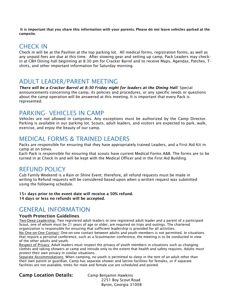It is important that you share this information with your parents. Please do not leave vehicles parked at the campsite.

## CHECK IN

Check In will be at the Pavilion at the top parking lot. All medical forms, registration forms, as well as any unpaid fees are due at this time. After stowing gear and setting up camp, Pack Leaders may checkin at CBH Dining hall beginning at 8:30 pm for Cracker Barrel and to receive Maps, Agendas, Patches, Tshirts, and other important information for Saturday morning.

#### ADULT LEADER/PARENT MEETING

*There will be a Cracker Barrel at 8:30 Friday night for leaders at the Dining Hall*. Special announcements concerning the camp, its policies and procedures, or any specific needs or questions about the camp operation will be answered at this meeting. It is important that every Pack is represented.

#### PARKING- VEHICLES IN CAMP

Vehicles are not allowed in campsites. Any exceptions must be authorized by the Camp Director. Parking is available in our parking lot. Scouts, adult leaders, and visitors are expected to park, walk, exercise, and enjoy the beauty of our camp.

#### MEDICAL FORMS & TRAINED LEADERS

Packs are responsible for ensuring that they have appropriately trained Leaders, and a First Aid Kit in camp at on times.

Each Pack is responsible for ensuring that scouts have current Medical Forms A&B. The forms are to be turned in at Check In and will be kept with the Medical Officer and in the First Aid Building.

#### REFUND POLICY

Cub Family Weekend is a Rain or Shine Event; therefore, all refund requests must be made in writing to Refund requests will be considered based upon when a written request was submitted using the following schedule.

15+ days prior to the event date will receive a 50% refund. 14 days or less no refunds will be accepted.

## GENERAL INFORMATION

#### Youth Protection Guidelines

Two-Deep Leadership: Two registered adult leaders or one registered adult leader and a parent of a participant Scout, one of whom must be 21 years of age or older, are required on trips and outings. The chartered organization is responsible for ensuring that sufficient leadership is provided for all activities. No One-on-One Contact: One-on-one contact between adults and youth members is not permitted. In situations

that require a personal conference, such as a Scoutmaster conference, the meeting is to be conducted in view of the other adults and youth.

Respect of Privacy: Adult leaders must respect the privacy of youth members in situations such as changing clothes and taking showers at camp and intrude only to the extent that health and safety requires. Adults must protect their own privacy in similar situations.

Separate Accommodations: When camping, no youth is permitted to sleep in the tent of an adult other than their own parent or guardian. Camp has separate shower and latrine facilities for females, or if separate facilities are not available, times for male and female use are scheduled and posted.

Camp Location Details: Camp Benjamin Hawkins

2251 Boy Scout Road Byron, Georgia 31008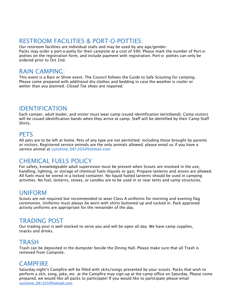## RESTROOM FACILITIES & PORT-O-POTTIES:

Our restroom facilities are individual stalls and may be used by any age/gender. Packs may order a port-o-potty for their campsite at a cost of \$90. Please mark the number of Port-opotties on the registration form, and include payment with registration. Port-o- potties can only be ordered prior to Oct 2nd.

### RAIN CAMPING:

This event is a Rain or Shine event. The Council follows the Guide to Safe Scouting for camping. Please come prepared with additional dry clothes and bedding in case the weather is cooler or wetter than you planned. *Closed Toe shoes are required.*

#### IDENTIFICATION

Each camper, adult leader, and visitor must wear camp issued identification (wristband). Camp visitors will be issued identification bands when they arrive at camp. Staff will be identified by their Camp Staff Shirts.

## **PETS**

All pets are to be left at home. Pets of any type are not permitted; including those brought by parents or visitors. Registered service animals are the only animals allowed; please email us if you have a service animal at sunshine\_081203@hotmail.com

# CHEMICAL FUELS POLICY

For safety, knowledgeable adult supervision must be present when Scouts are involved in the use, handling, lighting, or storage of chemical fuels (liquids or gas). Propane lanterns and stoves are allowed. All fuels must be stored in a locked container. No liquid fueled lanterns should be used in camping activities. No fuel, lanterns, stoves, or candles are to be used in or near tents and camp structures.

#### UNIFORM

Scouts are not required but recommended to wear Class A uniforms for morning and evening flag ceremonies. Uniforms must always be worn with shirts buttoned up and tucked in. Pack approved activity uniforms are appropriate for the remainder of the day.

#### TRADING POST

Our trading post is well-stocked to serve you and will be open all day. We have camp supplies, snacks and drinks.

#### TRASH

Trash can be deposited in the dumpster beside the Dining Hall. Please make sure that all Trash is removed from Campsite.

#### **CAMPFIRE**

Saturday night's Campfire will be filled with skits/songs presented by your scouts. Packs that wish to perform a skit, song, joke, etc. at the Campfire may sign-up at the camp office on Saturday. Please come prepared, we would like all packs to participate! If you would like to participate please email [sunshine\\_081203@hotmail.com](mailto:sunshine_081203@hotmail.com)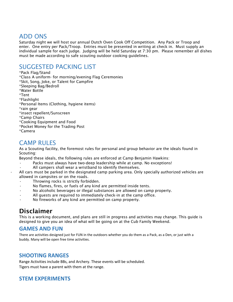# ADD ONS

Saturday night we will host our annual Dutch Oven Cook Off Competition. Any Pack or Troop and enter. One entry per Pack/Troop. Entries must be presented in writing at check in. Must supply an individual sample for each judge. Judging will be held Saturday at 7:30 pm. Please remember all dishes must be made according to safe scouting outdoor cooking guidelines.

## SUGGESTED PACKING LIST

\*Pack Flag/Stand \*Class A uniform- for morning/evening Flag Ceremonies \*Skit, Song, Joke, or Talent for Campfire \*Sleeping Bag/Bedroll \*Water Bottle \*Tent \*Flashlight \*Personal Items (Clothing, hygiene items) \*rain gear \*insect repellent/Sunscreen \*Camp Chairs \*Cooking Equipment and Food \*Pocket Money for the Trading Post \*Camera

## CAMP RULES

As a Scouting facility, the foremost rules for personal and group behavior are the ideals found in Scouting:

Beyond these ideals, the following rules are enforced at Camp Benjamin Hawkins:

- Packs must always have two-deep leadership while at camp. No exceptions!
- All campers shall wear a wristband to identify themselves.

• All cars must be parked in the designated camp parking area. Only specially authorized vehicles are allowed in campsites or on the roads.

- Throwing rocks is strictly forbidden.
- No flames, fires, or fuels of any kind are permitted inside tents.
- No alcoholic beverages or illegal substances are allowed on camp property.
- All quests are required to immediately check-in at the camp office.
- No fireworks of any kind are permitted on camp property.

# Disclaimer

This is a working document, and plans are still in progress and activities may change. This guide is designed to give you an idea of what will be going on at the Cub Family Weekend.

#### **GAMES AND FUN**

There are activities designed just for FUN in the outdoors whether you do them as a Pack, as a Den, or just with a buddy. Many will be open free time activities.

#### **SHOOTING RANGES**

Range Activities include BBs, and Archery. These events will be scheduled. Tigers must have a parent with them at the range.

#### **STEM EXPERIMENTS**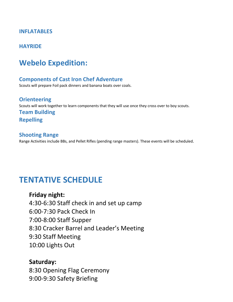#### **INFLATABLES**

#### **HAYRIDE**

# **Webelo Expedition:**

#### **Components of Cast Iron Chef Adventure**

Scouts will prepare Foil pack dinners and banana boats over coals.

**Orienteering** Scouts will work together to learn components that they will use once they cross over to boy scouts. **Team Building Repelling**

#### **Shooting Range**

Range Activities include BBs, and Pellet Rifles (pending range masters). These events will be scheduled.

# **TENTATIVE SCHEDULE**

**Friday night:** 4:30-6:30 Staff check in and set up camp 6:00-7:30 Pack Check In 7:00-8:00 Staff Supper 8:30 Cracker Barrel and Leader's Meeting 9:30 Staff Meeting 10:00 Lights Out

#### **Saturday:**

8:30 Opening Flag Ceremony 9:00-9:30 Safety Briefing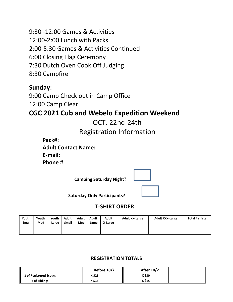9:30 -12:00 Games & Activities 12:00-2:00 Lunch with Packs 2:00-5:30 Games & Activities Continued 6:00 Closing Flag Ceremony 7:30 Dutch Oven Cook Off Judging 8:30 Campfire

## **Sunday:**

9:00 Camp Check out in Camp Office 12:00 Camp Clear

# **CGC 2021 Cub and Webelo Expedition Weekend**

OCT. 22nd-24th

Registration Information

| Pack#:                     |
|----------------------------|
| <b>Adult Contact Name:</b> |
| E-mail:                    |
| Phone #                    |

**Camping Saturday Night?** 



 **Saturday Only Participants?** 

#### **T-SHIRT ORDER**

| Youth<br><b>Small</b> | Youth<br>Med | Youth<br>Large | <b>Adult</b><br><b>Small</b> | Adult<br>Med | Adult<br>Large | <b>Adult</b><br>X-Large | <b>Adult XX-Large</b> | <b>Adult XXX-Large</b> | Total # shirts |
|-----------------------|--------------|----------------|------------------------------|--------------|----------------|-------------------------|-----------------------|------------------------|----------------|
|                       |              |                |                              |              |                |                         |                       |                        |                |

#### **REGISTRATION TOTALS**

|                        | Before 10/2 | <b>After 10/2</b> |  |
|------------------------|-------------|-------------------|--|
| # of Registered Scouts | X \$25      | X \$30            |  |
| # of Siblings          | X \$15      | X \$15            |  |